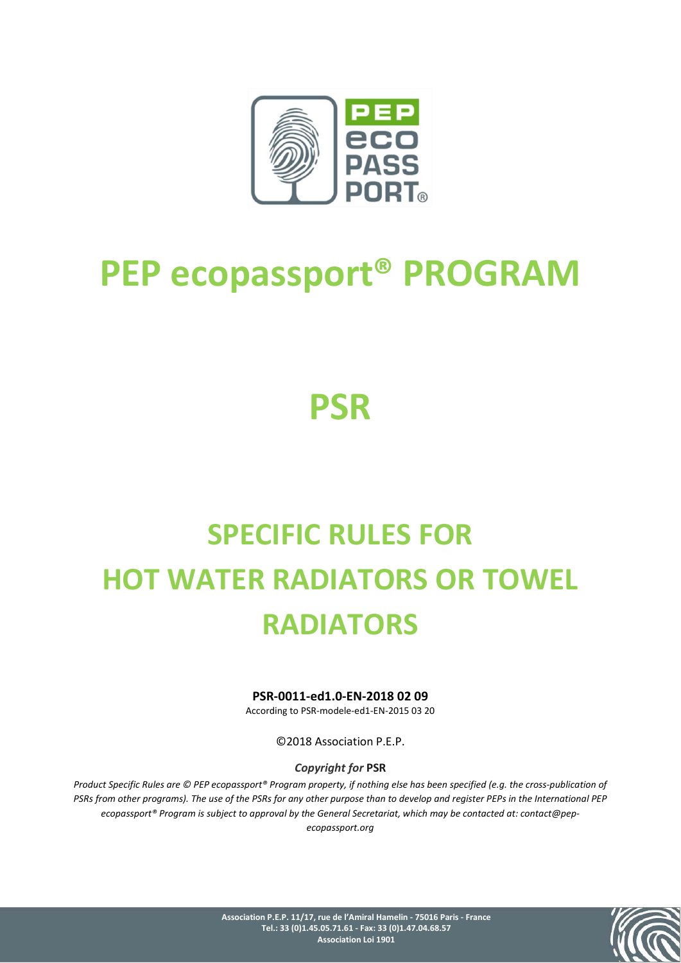

# **PEP ecopassport® PROGRAM**

# **PSR**

# **SPECIFIC RULES FOR HOT WATER RADIATORS OR TOWEL RADIATORS**

#### **PSR-0011-ed1.0-EN-2018 02 09**

According to PSR-modele-ed1-EN-2015 03 20

©2018 Association P.E.P.

#### *Copyright for* **PSR**

*Product Specific Rules are © PEP ecopassport® Program property, if nothing else has been specified (e.g. the cross-publication of PSRs from other programs). The use of the PSRs for any other purpose than to develop and register PEPs in the International PEP ecopassport® Program is subject to approval by the General Secretariat, which may be contacted at: contact@pepecopassport.org*

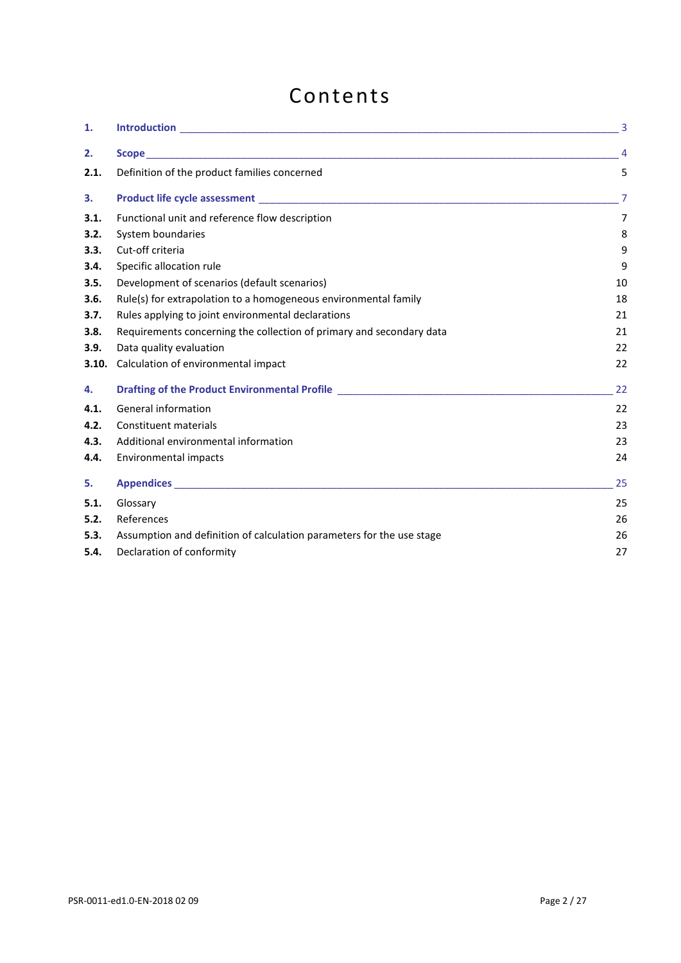# Contents

| 1.    |                                                                                                                            | $\overline{3}$ |
|-------|----------------------------------------------------------------------------------------------------------------------------|----------------|
| 2.    |                                                                                                                            | 4              |
| 2.1.  | Definition of the product families concerned                                                                               | 5              |
| 3.    |                                                                                                                            | 7              |
| 3.1.  | Functional unit and reference flow description                                                                             | 7              |
| 3.2.  | System boundaries                                                                                                          | 8              |
| 3.3.  | Cut-off criteria                                                                                                           | 9              |
| 3.4.  | Specific allocation rule                                                                                                   | 9              |
| 3.5.  | Development of scenarios (default scenarios)                                                                               | 10             |
| 3.6.  | Rule(s) for extrapolation to a homogeneous environmental family                                                            | 18             |
| 3.7.  | Rules applying to joint environmental declarations                                                                         | 21             |
| 3.8.  | Requirements concerning the collection of primary and secondary data                                                       | 21             |
| 3.9.  | Data quality evaluation                                                                                                    | 22             |
| 3.10. | Calculation of environmental impact                                                                                        | 22             |
| 4.    | Drafting of the Product Environmental Profile <b>Constitution of the Constitution</b> of the Product Environmental Profile | 22             |
| 4.1.  | General information                                                                                                        | 22             |
| 4.2.  | Constituent materials                                                                                                      | 23             |
| 4.3.  | Additional environmental information                                                                                       | 23             |
| 4.4.  | Environmental impacts                                                                                                      | 24             |
| 5.    |                                                                                                                            | 25             |
| 5.1.  | Glossary                                                                                                                   | 25             |
| 5.2.  | References                                                                                                                 | 26             |
| 5.3.  | Assumption and definition of calculation parameters for the use stage                                                      | 26             |
| 5.4.  | Declaration of conformity                                                                                                  | 27             |
|       |                                                                                                                            |                |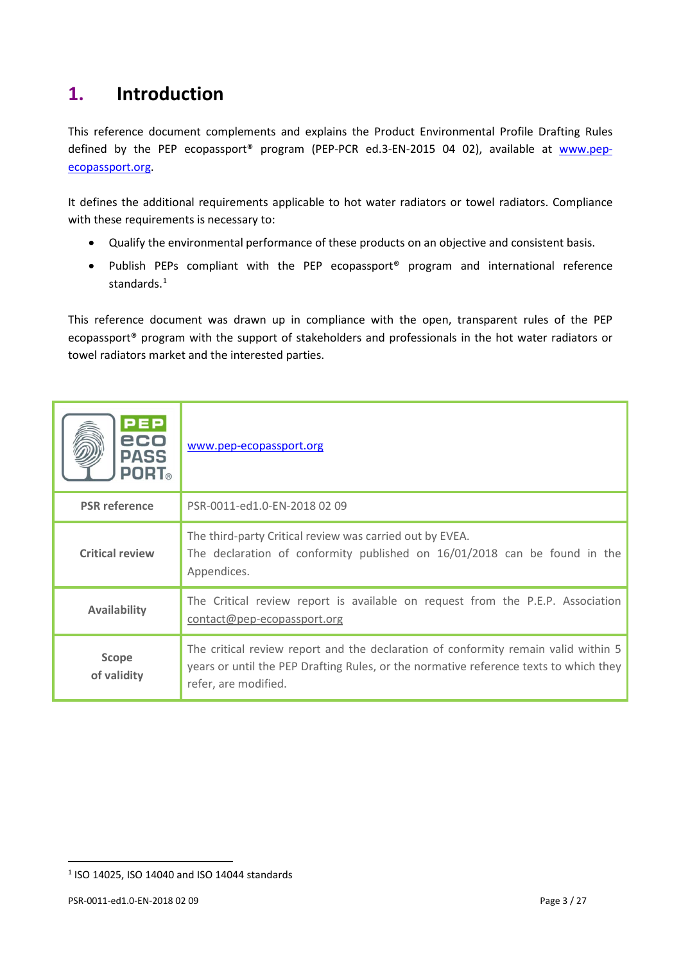# <span id="page-2-0"></span>**1. Introduction**

This reference document complements and explains the Product Environmental Profile Drafting Rules defined by the PEP ecopassport<sup>®</sup> program (PEP-PCR ed.3-EN-2015 04 02), available at [www.pep](http://www.pep-ecopassport.org/)[ecopassport.org.](http://www.pep-ecopassport.org/)

It defines the additional requirements applicable to hot water radiators or towel radiators. Compliance with these requirements is necessary to:

- Qualify the environmental performance of these products on an objective and consistent basis.
- Publish PEPs compliant with the PEP ecopassport® program and international reference standards.<sup>1</sup>

This reference document was drawn up in compliance with the open, transparent rules of the PEP ecopassport® program with the support of stakeholders and professionals in the hot water radiators or towel radiators market and the interested parties.

| <b>PEP</b><br>eco<br><b>PASS</b><br><b>PORT</b> ® | www.pep-ecopassport.org                                                                                                                                                                             |
|---------------------------------------------------|-----------------------------------------------------------------------------------------------------------------------------------------------------------------------------------------------------|
| <b>PSR</b> reference                              | PSR-0011-ed1.0-EN-2018 02 09                                                                                                                                                                        |
| <b>Critical review</b>                            | The third-party Critical review was carried out by EVEA.<br>The declaration of conformity published on 16/01/2018 can be found in the<br>Appendices.                                                |
| <b>Availability</b>                               | The Critical review report is available on request from the P.E.P. Association<br>contact@pep-ecopassport.org                                                                                       |
| <b>Scope</b><br>of validity                       | The critical review report and the declaration of conformity remain valid within 5<br>years or until the PEP Drafting Rules, or the normative reference texts to which they<br>refer, are modified. |

 $\overline{a}$ 

<span id="page-2-1"></span><sup>1</sup> ISO 14025, ISO 14040 and ISO 14044 standards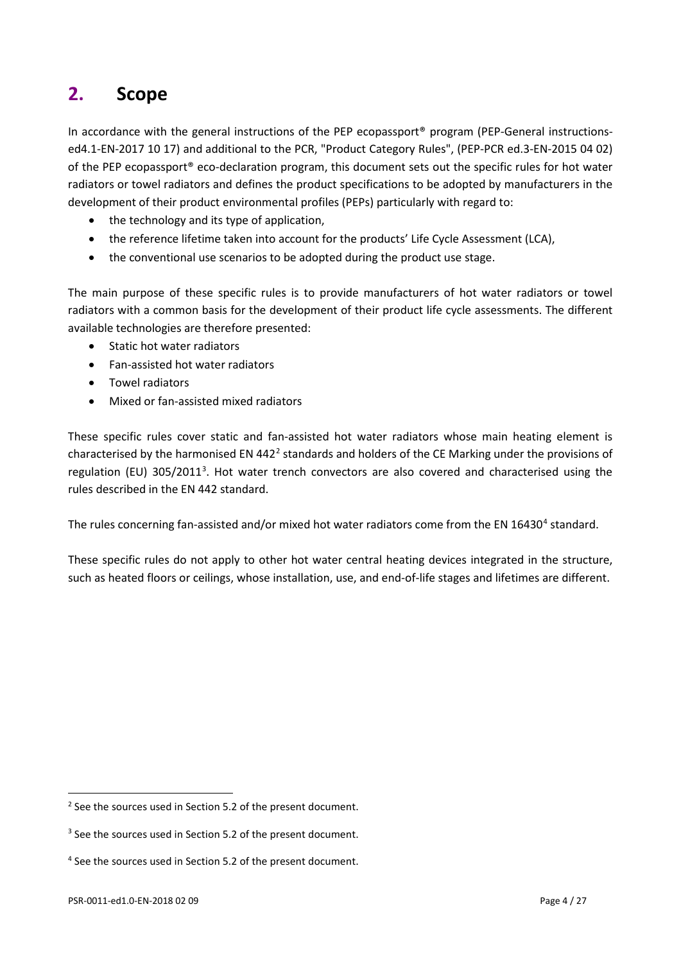# <span id="page-3-0"></span>**2. Scope**

In accordance with the general instructions of the PEP ecopassport<sup>®</sup> program (PEP-General instructionsed4.1-EN-2017 10 17) and additional to the PCR, "Product Category Rules", (PEP-PCR ed.3-EN-2015 04 02) of the PEP ecopassport® eco-declaration program, this document sets out the specific rules for hot water radiators or towel radiators and defines the product specifications to be adopted by manufacturers in the development of their product environmental profiles (PEPs) particularly with regard to:

- the technology and its type of application,
- the reference lifetime taken into account for the products' Life Cycle Assessment (LCA),
- the conventional use scenarios to be adopted during the product use stage.

The main purpose of these specific rules is to provide manufacturers of hot water radiators or towel radiators with a common basis for the development of their product life cycle assessments. The different available technologies are therefore presented:

- Static hot water radiators
- Fan-assisted hot water radiators
- Towel radiators
- Mixed or fan-assisted mixed radiators

These specific rules cover static and fan-assisted hot water radiators whose main heating element is characterised by the harmonised EN 44[2](#page-3-1)<sup>2</sup> standards and holders of the CE Marking under the provisions of regulation (EU) [3](#page-3-2)05/2011<sup>3</sup>. Hot water trench convectors are also covered and characterised using the rules described in the EN 442 standard.

The rules concerning fan-assisted and/or mixed hot water radiators come from the EN 16[4](#page-3-3)30<sup>4</sup> standard.

These specific rules do not apply to other hot water central heating devices integrated in the structure, such as heated floors or ceilings, whose installation, use, and end-of-life stages and lifetimes are different.

l

<span id="page-3-1"></span><sup>&</sup>lt;sup>2</sup> See the sources used in Section 5.2 of the present document.

<span id="page-3-2"></span><sup>&</sup>lt;sup>3</sup> See the sources used in Section 5.2 of the present document.

<span id="page-3-3"></span><sup>4</sup> See the sources used in Section 5.2 of the present document.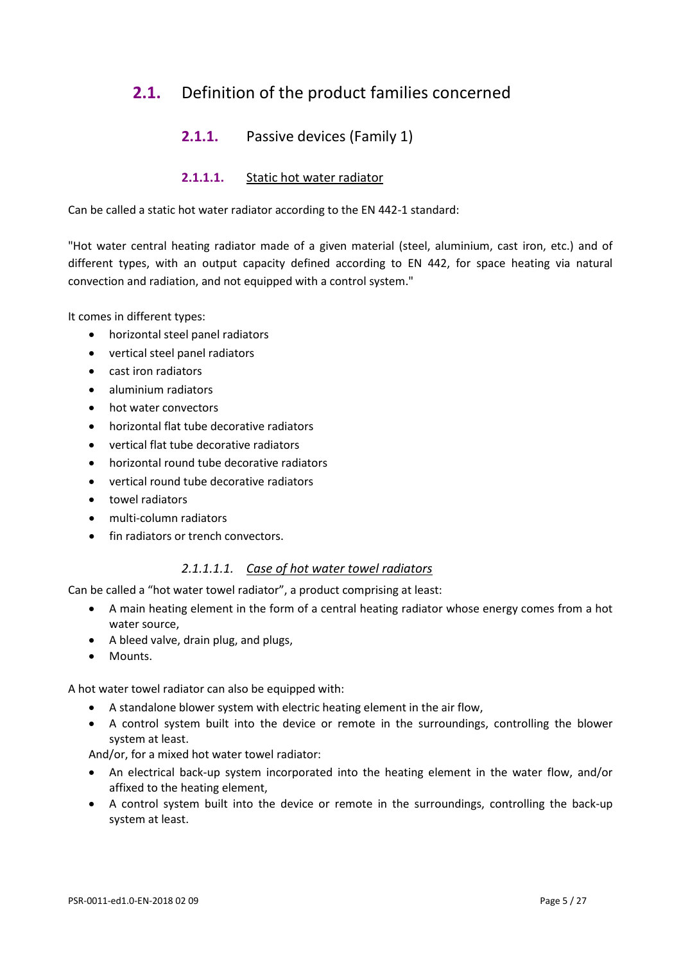## <span id="page-4-0"></span>**2.1.** Definition of the product families concerned

#### **2.1.1.** Passive devices (Family 1)

#### **2.1.1.1.** Static hot water radiator

Can be called a static hot water radiator according to the EN 442-1 standard:

"Hot water central heating radiator made of a given material (steel, aluminium, cast iron, etc.) and of different types, with an output capacity defined according to EN 442, for space heating via natural convection and radiation, and not equipped with a control system."

It comes in different types:

- horizontal steel panel radiators
- vertical steel panel radiators
- cast iron radiators
- aluminium radiators
- hot water convectors
- horizontal flat tube decorative radiators
- vertical flat tube decorative radiators
- horizontal round tube decorative radiators
- vertical round tube decorative radiators
- towel radiators
- multi-column radiators
- fin radiators or trench convectors.

#### *2.1.1.1.1. Case of hot water towel radiators*

Can be called a "hot water towel radiator", a product comprising at least:

- A main heating element in the form of a central heating radiator whose energy comes from a hot water source,
- A bleed valve, drain plug, and plugs,
- Mounts.

A hot water towel radiator can also be equipped with:

- A standalone blower system with electric heating element in the air flow,
- A control system built into the device or remote in the surroundings, controlling the blower system at least.

And/or, for a mixed hot water towel radiator:

- An electrical back-up system incorporated into the heating element in the water flow, and/or affixed to the heating element,
- A control system built into the device or remote in the surroundings, controlling the back-up system at least.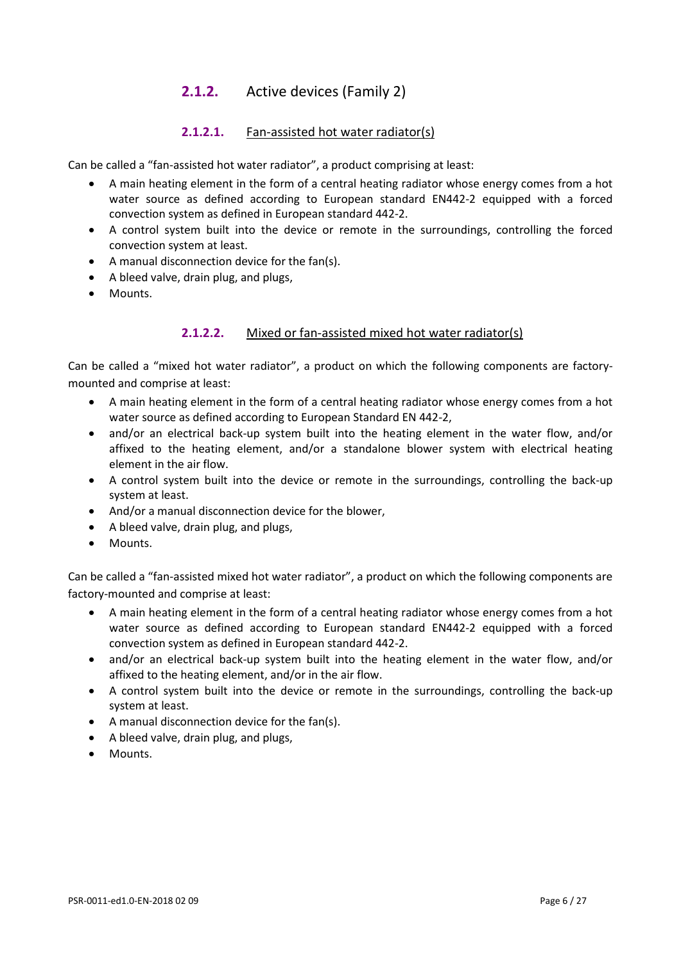#### **2.1.2.** Active devices (Family 2)

#### **2.1.2.1.** Fan-assisted hot water radiator(s)

Can be called a "fan-assisted hot water radiator", a product comprising at least:

- A main heating element in the form of a central heating radiator whose energy comes from a hot water source as defined according to European standard EN442-2 equipped with a forced convection system as defined in European standard 442-2.
- A control system built into the device or remote in the surroundings, controlling the forced convection system at least.
- A manual disconnection device for the fan(s).
- A bleed valve, drain plug, and plugs,
- Mounts.

#### **2.1.2.2.** Mixed or fan-assisted mixed hot water radiator(s)

Can be called a "mixed hot water radiator", a product on which the following components are factorymounted and comprise at least:

- A main heating element in the form of a central heating radiator whose energy comes from a hot water source as defined according to European Standard EN 442-2,
- and/or an electrical back-up system built into the heating element in the water flow, and/or affixed to the heating element, and/or a standalone blower system with electrical heating element in the air flow.
- A control system built into the device or remote in the surroundings, controlling the back-up system at least.
- And/or a manual disconnection device for the blower,
- A bleed valve, drain plug, and plugs,
- Mounts.

Can be called a "fan-assisted mixed hot water radiator", a product on which the following components are factory-mounted and comprise at least:

- A main heating element in the form of a central heating radiator whose energy comes from a hot water source as defined according to European standard EN442-2 equipped with a forced convection system as defined in European standard 442-2.
- and/or an electrical back-up system built into the heating element in the water flow, and/or affixed to the heating element, and/or in the air flow.
- A control system built into the device or remote in the surroundings, controlling the back-up system at least.
- A manual disconnection device for the fan(s).
- A bleed valve, drain plug, and plugs,
- Mounts.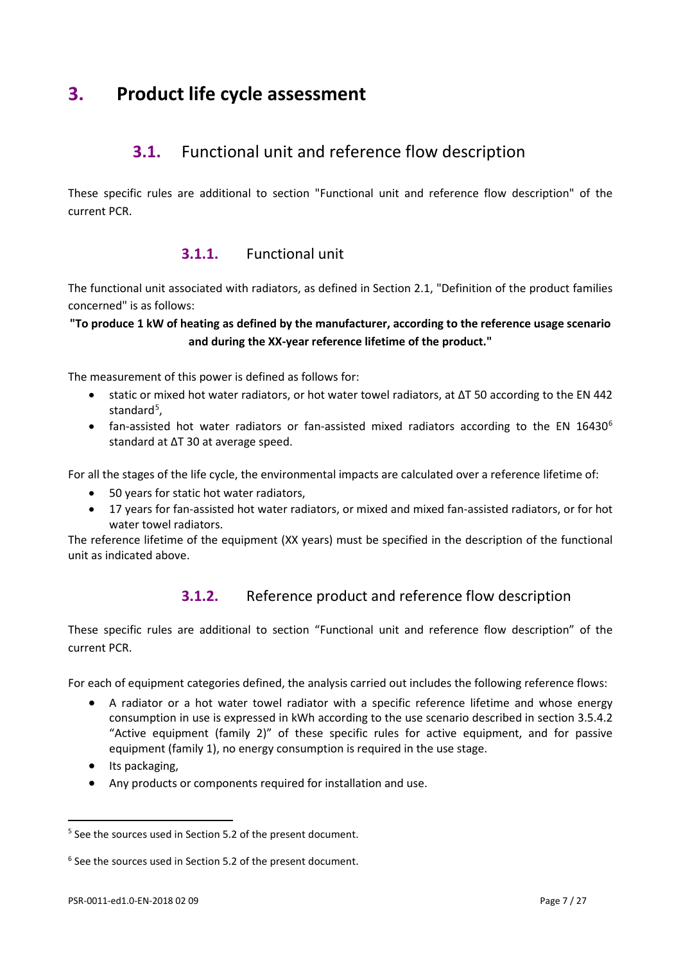# <span id="page-6-1"></span><span id="page-6-0"></span>**3. Product life cycle assessment**

## **3.1.** Functional unit and reference flow description

These specific rules are additional to section "Functional unit and reference flow description" of the current PCR.

#### **3.1.1.** Functional unit

The functional unit associated with radiators, as defined in Section 2.1, "Definition of the product families concerned" is as follows:

#### **"To produce 1 kW of heating as defined by the manufacturer, according to the reference usage scenario and during the XX-year reference lifetime of the product."**

The measurement of this power is defined as follows for:

- static or mixed hot water radiators, or hot water towel radiators, at ΔT 50 according to the EN 442 standard<sup>[5](#page-6-2)</sup>,
- fan-assisted hot water radiators or fan-assisted mixed radiators according to the EN 1[6](#page-6-3)430<sup>6</sup> standard at ΔT 30 at average speed.

For all the stages of the life cycle, the environmental impacts are calculated over a reference lifetime of:

- 50 years for static hot water radiators,
- 17 years for fan-assisted hot water radiators, or mixed and mixed fan-assisted radiators, or for hot water towel radiators.

The reference lifetime of the equipment (XX years) must be specified in the description of the functional unit as indicated above.

#### **3.1.2.** Reference product and reference flow description

These specific rules are additional to section "Functional unit and reference flow description" of the current PCR.

For each of equipment categories defined, the analysis carried out includes the following reference flows:

- A radiator or a hot water towel radiator with a specific reference lifetime and whose energy consumption in use is expressed in kWh according to the use scenario described in section 3.5.4.2 "Active equipment (family 2)" of these specific rules for active equipment, and for passive equipment (family 1), no energy consumption is required in the use stage.
- Its packaging,

 $\overline{a}$ 

• Any products or components required for installation and use.

<span id="page-6-2"></span><sup>&</sup>lt;sup>5</sup> See the sources used in Section 5.2 of the present document.

<span id="page-6-3"></span><sup>&</sup>lt;sup>6</sup> See the sources used in Section 5.2 of the present document.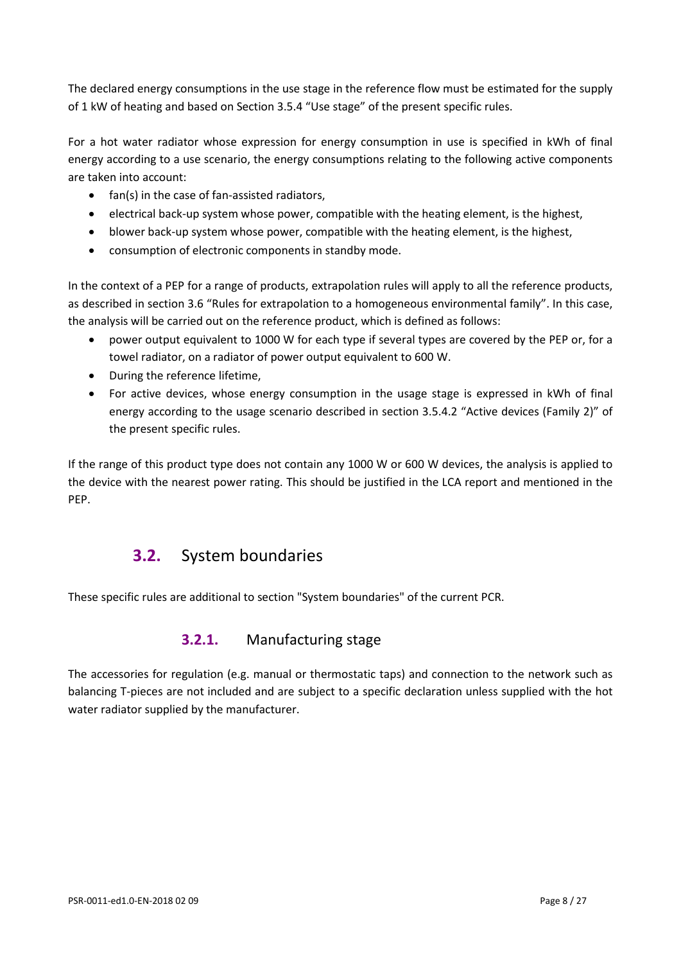The declared energy consumptions in the use stage in the reference flow must be estimated for the supply of 1 kW of heating and based on Section 3.5.4 "Use stage" of the present specific rules.

For a hot water radiator whose expression for energy consumption in use is specified in kWh of final energy according to a use scenario, the energy consumptions relating to the following active components are taken into account:

- fan(s) in the case of fan-assisted radiators,
- electrical back-up system whose power, compatible with the heating element, is the highest,
- blower back-up system whose power, compatible with the heating element, is the highest,
- consumption of electronic components in standby mode.

In the context of a PEP for a range of products, extrapolation rules will apply to all the reference products, as described in section 3.6 "Rules for extrapolation to a homogeneous environmental family". In this case, the analysis will be carried out on the reference product, which is defined as follows:

- power output equivalent to 1000 W for each type if several types are covered by the PEP or, for a towel radiator, on a radiator of power output equivalent to 600 W.
- During the reference lifetime,
- For active devices, whose energy consumption in the usage stage is expressed in kWh of final energy according to the usage scenario described in section 3.5.4.2 "Active devices (Family 2)" of the present specific rules.

<span id="page-7-0"></span>If the range of this product type does not contain any 1000 W or 600 W devices, the analysis is applied to the device with the nearest power rating. This should be justified in the LCA report and mentioned in the PEP.

## **3.2.** System boundaries

These specific rules are additional to section "System boundaries" of the current PCR.

#### **3.2.1.** Manufacturing stage

The accessories for regulation (e.g. manual or thermostatic taps) and connection to the network such as balancing T-pieces are not included and are subject to a specific declaration unless supplied with the hot water radiator supplied by the manufacturer.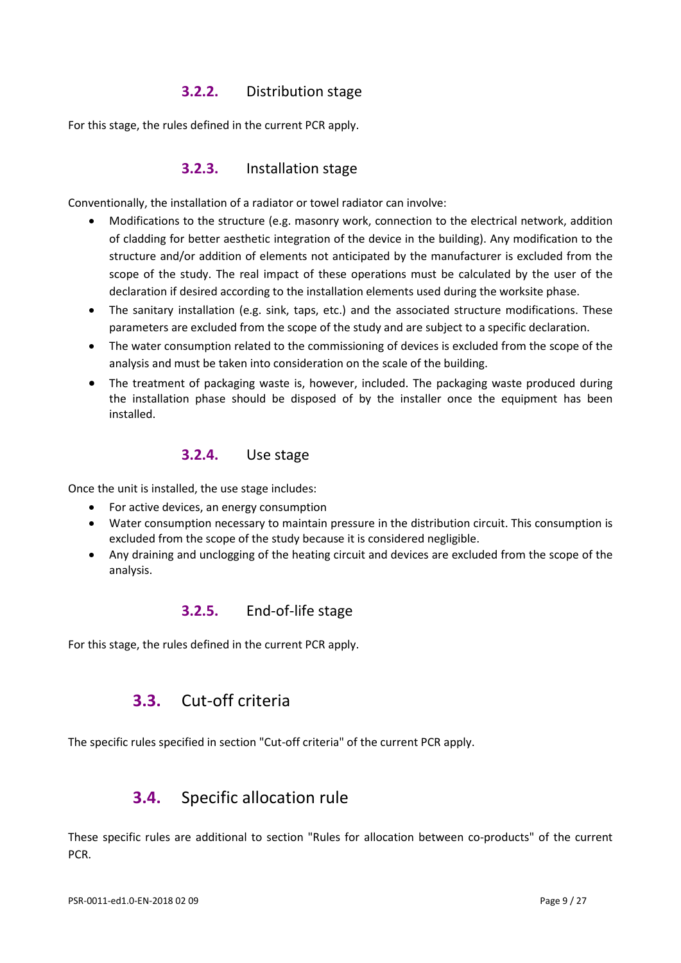#### **3.2.2.** Distribution stage

For this stage, the rules defined in the current PCR apply.

#### **3.2.3.** Installation stage

Conventionally, the installation of a radiator or towel radiator can involve:

- Modifications to the structure (e.g. masonry work, connection to the electrical network, addition of cladding for better aesthetic integration of the device in the building). Any modification to the structure and/or addition of elements not anticipated by the manufacturer is excluded from the scope of the study. The real impact of these operations must be calculated by the user of the declaration if desired according to the installation elements used during the worksite phase.
- The sanitary installation (e.g. sink, taps, etc.) and the associated structure modifications. These parameters are excluded from the scope of the study and are subject to a specific declaration.
- The water consumption related to the commissioning of devices is excluded from the scope of the analysis and must be taken into consideration on the scale of the building.
- The treatment of packaging waste is, however, included. The packaging waste produced during the installation phase should be disposed of by the installer once the equipment has been installed.

#### **3.2.4.** Use stage

Once the unit is installed, the use stage includes:

- For active devices, an energy consumption
- Water consumption necessary to maintain pressure in the distribution circuit. This consumption is excluded from the scope of the study because it is considered negligible.
- Any draining and unclogging of the heating circuit and devices are excluded from the scope of the analysis.

#### **3.2.5.** End-of-life stage

<span id="page-8-0"></span>For this stage, the rules defined in the current PCR apply.

## **3.3.** Cut-off criteria

<span id="page-8-1"></span>The specific rules specified in section "Cut-off criteria" of the current PCR apply.

## **3.4.** Specific allocation rule

These specific rules are additional to section "Rules for allocation between co-products" of the current PCR.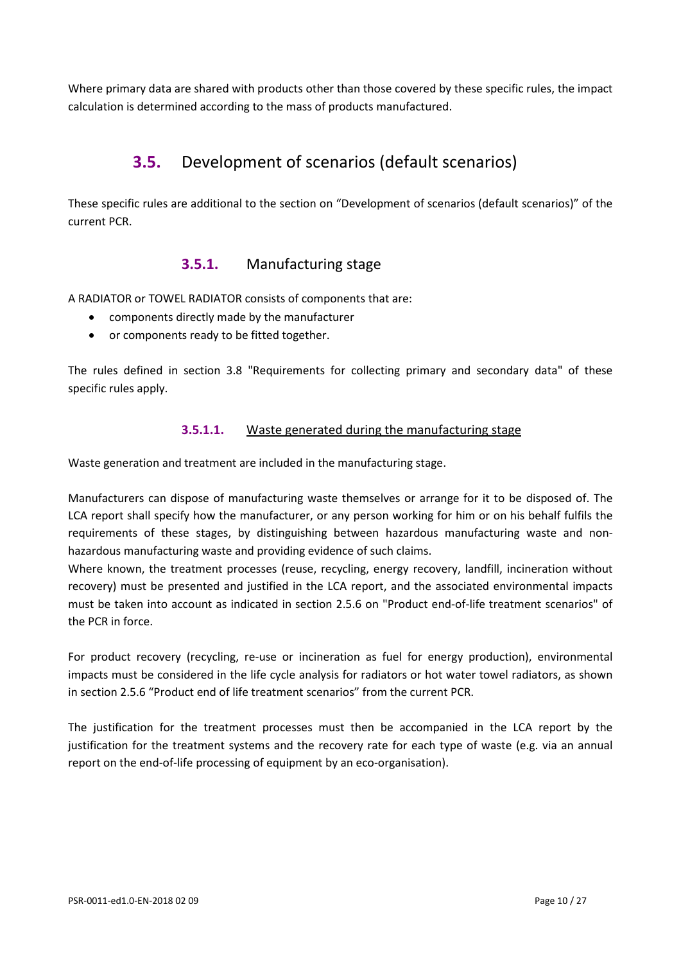<span id="page-9-0"></span>Where primary data are shared with products other than those covered by these specific rules, the impact calculation is determined according to the mass of products manufactured.

# **3.5.** Development of scenarios (default scenarios)

These specific rules are additional to the section on "Development of scenarios (default scenarios)" of the current PCR.

#### **3.5.1.** Manufacturing stage

A RADIATOR or TOWEL RADIATOR consists of components that are:

- components directly made by the manufacturer
- or components ready to be fitted together.

The rules defined in section 3.8 "Requirements for collecting primary and secondary data" of these specific rules apply.

#### **3.5.1.1.** Waste generated during the manufacturing stage

Waste generation and treatment are included in the manufacturing stage.

Manufacturers can dispose of manufacturing waste themselves or arrange for it to be disposed of. The LCA report shall specify how the manufacturer, or any person working for him or on his behalf fulfils the requirements of these stages, by distinguishing between hazardous manufacturing waste and nonhazardous manufacturing waste and providing evidence of such claims.

Where known, the treatment processes (reuse, recycling, energy recovery, landfill, incineration without recovery) must be presented and justified in the LCA report, and the associated environmental impacts must be taken into account as indicated in section 2.5.6 on "Product end-of-life treatment scenarios" of the PCR in force.

For product recovery (recycling, re-use or incineration as fuel for energy production), environmental impacts must be considered in the life cycle analysis for radiators or hot water towel radiators, as shown in section 2.5.6 "Product end of life treatment scenarios" from the current PCR.

The justification for the treatment processes must then be accompanied in the LCA report by the justification for the treatment systems and the recovery rate for each type of waste (e.g. via an annual report on the end-of-life processing of equipment by an eco-organisation).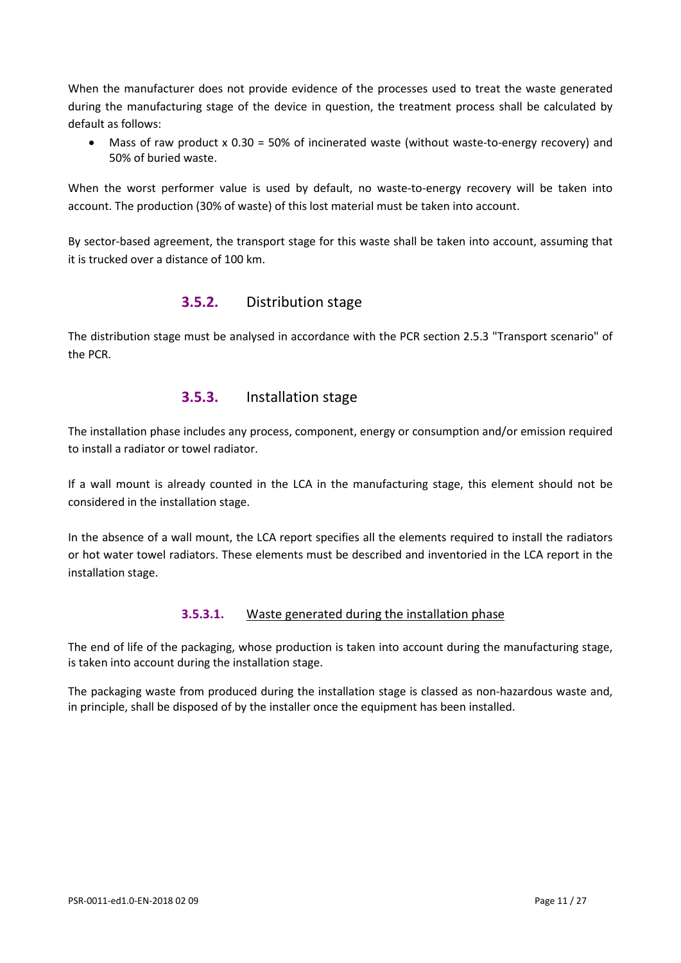When the manufacturer does not provide evidence of the processes used to treat the waste generated during the manufacturing stage of the device in question, the treatment process shall be calculated by default as follows:

Mass of raw product  $x$  0.30 = 50% of incinerated waste (without waste-to-energy recovery) and 50% of buried waste.

When the worst performer value is used by default, no waste-to-energy recovery will be taken into account. The production (30% of waste) of this lost material must be taken into account.

By sector-based agreement, the transport stage for this waste shall be taken into account, assuming that it is trucked over a distance of 100 km.

#### **3.5.2.** Distribution stage

The distribution stage must be analysed in accordance with the PCR section 2.5.3 "Transport scenario" of the PCR.

#### **3.5.3.** Installation stage

The installation phase includes any process, component, energy or consumption and/or emission required to install a radiator or towel radiator.

If a wall mount is already counted in the LCA in the manufacturing stage, this element should not be considered in the installation stage.

In the absence of a wall mount, the LCA report specifies all the elements required to install the radiators or hot water towel radiators. These elements must be described and inventoried in the LCA report in the installation stage.

#### **3.5.3.1.** Waste generated during the installation phase

The end of life of the packaging, whose production is taken into account during the manufacturing stage, is taken into account during the installation stage.

The packaging waste from produced during the installation stage is classed as non-hazardous waste and, in principle, shall be disposed of by the installer once the equipment has been installed.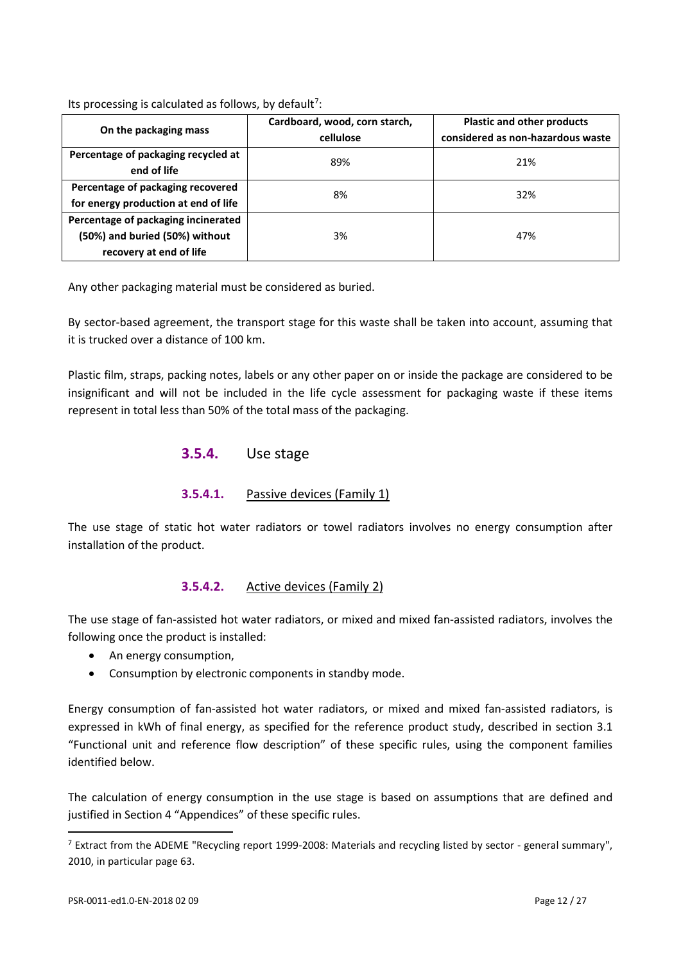Its processing is calculated as follows, by default<sup>[7](#page-11-0)</sup>:

| On the packaging mass                                                                            | Cardboard, wood, corn starch,<br>cellulose | <b>Plastic and other products</b><br>considered as non-hazardous waste |  |  |  |
|--------------------------------------------------------------------------------------------------|--------------------------------------------|------------------------------------------------------------------------|--|--|--|
| Percentage of packaging recycled at<br>end of life                                               | 89%                                        | 21%                                                                    |  |  |  |
| Percentage of packaging recovered<br>for energy production at end of life                        | 8%                                         | 32%                                                                    |  |  |  |
| Percentage of packaging incinerated<br>(50%) and buried (50%) without<br>recovery at end of life | 3%                                         | 47%                                                                    |  |  |  |

Any other packaging material must be considered as buried.

By sector-based agreement, the transport stage for this waste shall be taken into account, assuming that it is trucked over a distance of 100 km.

Plastic film, straps, packing notes, labels or any other paper on or inside the package are considered to be insignificant and will not be included in the life cycle assessment for packaging waste if these items represent in total less than 50% of the total mass of the packaging.

**3.5.4.** Use stage

#### **3.5.4.1.** Passive devices (Family 1)

The use stage of static hot water radiators or towel radiators involves no energy consumption after installation of the product.

#### **3.5.4.2.** Active devices (Family 2)

The use stage of fan-assisted hot water radiators, or mixed and mixed fan-assisted radiators, involves the following once the product is installed:

- An energy consumption,
- Consumption by electronic components in standby mode.

Energy consumption of fan-assisted hot water radiators, or mixed and mixed fan-assisted radiators, is expressed in kWh of final energy, as specified for the reference product study, described in section 3.1 "Functional unit and reference flow description" of these specific rules, using the component families identified below.

The calculation of energy consumption in the use stage is based on assumptions that are defined and justified in Section 4 "Appendices" of these specific rules.

l

<span id="page-11-0"></span> $<sup>7</sup>$  Extract from the ADEME "Recycling report 1999-2008: Materials and recycling listed by sector - general summary",</sup> 2010, in particular page 63.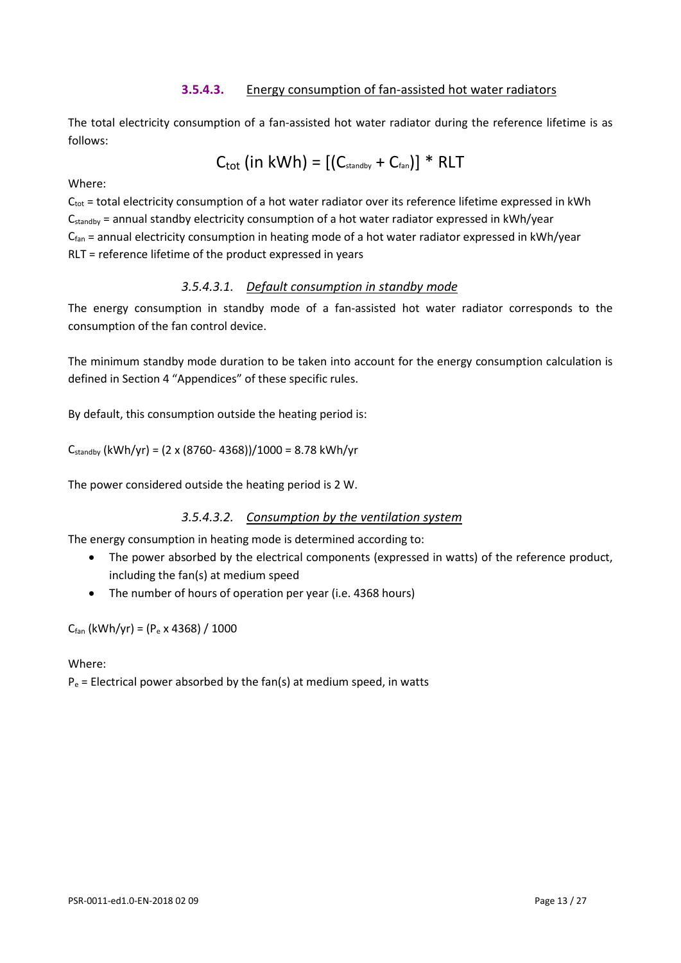#### **3.5.4.3.** Energy consumption of fan-assisted hot water radiators

The total electricity consumption of a fan-assisted hot water radiator during the reference lifetime is as follows:

$$
C_{\text{tot}} \left( \text{in kWh} \right) = \left[ \left( C_{\text{standby}} + C_{\text{fan}} \right) \right] * \text{RLT}
$$

#### Where:

 $C_{\text{tot}}$  = total electricity consumption of a hot water radiator over its reference lifetime expressed in kWh Cstandby = annual standby electricity consumption of a hot water radiator expressed in kWh/year  $C_{fan}$  = annual electricity consumption in heating mode of a hot water radiator expressed in kWh/year RLT = reference lifetime of the product expressed in years

#### *3.5.4.3.1. Default consumption in standby mode*

The energy consumption in standby mode of a fan-assisted hot water radiator corresponds to the consumption of the fan control device.

The minimum standby mode duration to be taken into account for the energy consumption calculation is defined in Section 4 "Appendices" of these specific rules.

By default, this consumption outside the heating period is:

 $C_{\text{standby}}$  (kWh/yr) = (2 x (8760- 4368))/1000 = 8.78 kWh/yr

The power considered outside the heating period is 2 W.

#### *3.5.4.3.2. Consumption by the ventilation system*

The energy consumption in heating mode is determined according to:

- The power absorbed by the electrical components (expressed in watts) of the reference product, including the fan(s) at medium speed
- The number of hours of operation per year (i.e. 4368 hours)

 $C_{fan}$  (kWh/yr) = ( $P_e$  x 4368) / 1000

#### Where:

 $P_e$  = Electrical power absorbed by the fan(s) at medium speed, in watts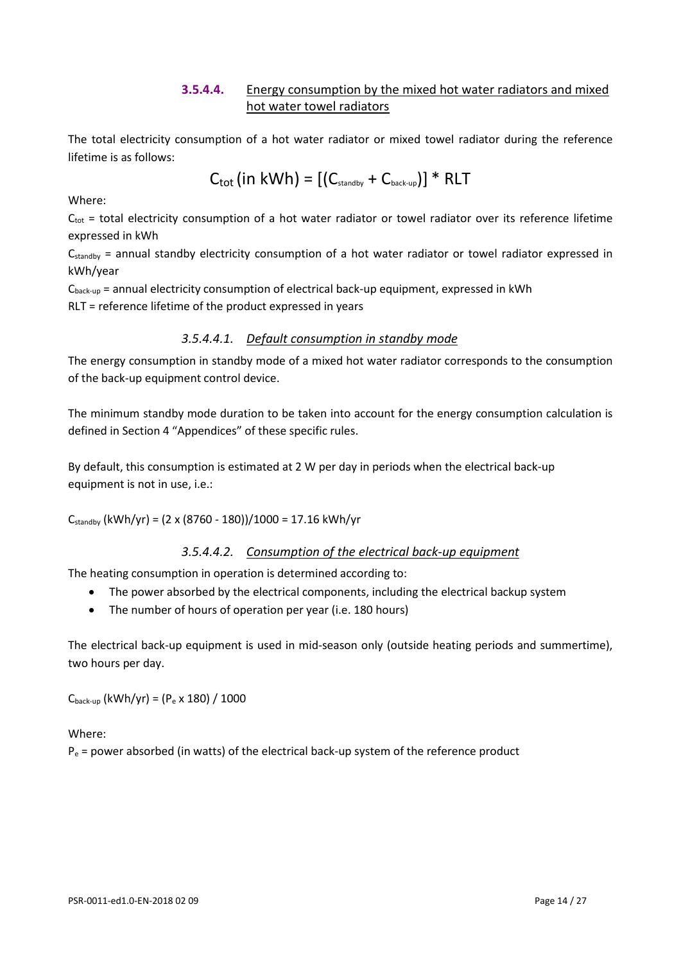#### **3.5.4.4.** Energy consumption by the mixed hot water radiators and mixed hot water towel radiators

The total electricity consumption of a hot water radiator or mixed towel radiator during the reference lifetime is as follows:

$$
C_{\text{tot}}(in kWh) = [(C_{\text{standby}} + C_{\text{back-up}})] * RLT
$$

Where:

 $C_{\text{tot}}$  = total electricity consumption of a hot water radiator or towel radiator over its reference lifetime expressed in kWh

C<sub>standby</sub> = annual standby electricity consumption of a hot water radiator or towel radiator expressed in kWh/year

 $C_{\text{back-up}}$  = annual electricity consumption of electrical back-up equipment, expressed in kWh RLT = reference lifetime of the product expressed in years

#### *3.5.4.4.1. Default consumption in standby mode*

The energy consumption in standby mode of a mixed hot water radiator corresponds to the consumption of the back-up equipment control device.

The minimum standby mode duration to be taken into account for the energy consumption calculation is defined in Section 4 "Appendices" of these specific rules.

By default, this consumption is estimated at 2 W per day in periods when the electrical back-up equipment is not in use, i.e.:

 $C_{\text{standby}}$  (kWh/yr) = (2 x (8760 - 180))/1000 = 17.16 kWh/yr

#### *3.5.4.4.2. Consumption of the electrical back-up equipment*

The heating consumption in operation is determined according to:

- The power absorbed by the electrical components, including the electrical backup system
- The number of hours of operation per year (i.e. 180 hours)

The electrical back-up equipment is used in mid-season only (outside heating periods and summertime), two hours per day.

 $C_{back-up}$  (kWh/yr) = ( $P_e \times 180$ ) / 1000

Where:

 $P_e$  = power absorbed (in watts) of the electrical back-up system of the reference product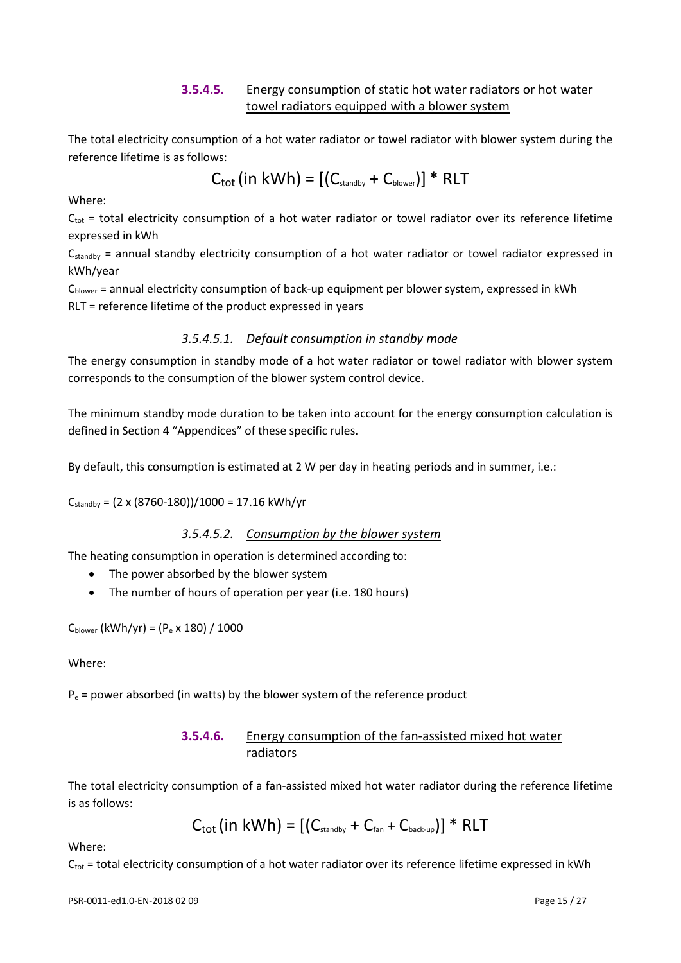#### **3.5.4.5.** Energy consumption of static hot water radiators or hot water towel radiators equipped with a blower system

The total electricity consumption of a hot water radiator or towel radiator with blower system during the reference lifetime is as follows:

$$
C_{\text{tot}}(in kWh) = [(C_{\text{standby}} + C_{\text{blower}})] * RLT
$$

Where:

 $C_{\text{tot}}$  = total electricity consumption of a hot water radiator or towel radiator over its reference lifetime expressed in kWh

 $C_{\text{standby}}$  = annual standby electricity consumption of a hot water radiator or towel radiator expressed in kWh/year

Cblower = annual electricity consumption of back-up equipment per blower system, expressed in kWh RLT = reference lifetime of the product expressed in years

#### *3.5.4.5.1. Default consumption in standby mode*

The energy consumption in standby mode of a hot water radiator or towel radiator with blower system corresponds to the consumption of the blower system control device.

The minimum standby mode duration to be taken into account for the energy consumption calculation is defined in Section 4 "Appendices" of these specific rules.

By default, this consumption is estimated at 2 W per day in heating periods and in summer, i.e.:

 $C_{\text{standby}} = (2 \times (8760 - 180))/1000 = 17.16 \text{ kWh/yr}$ 

#### *3.5.4.5.2. Consumption by the blower system*

The heating consumption in operation is determined according to:

- The power absorbed by the blower system
- The number of hours of operation per year (i.e. 180 hours)

 $C_{\text{blower}}$  (kWh/yr) = (P<sub>e</sub> x 180) / 1000

Where:

 $P_e$  = power absorbed (in watts) by the blower system of the reference product

#### **3.5.4.6.** Energy consumption of the fan-assisted mixed hot water radiators

The total electricity consumption of a fan-assisted mixed hot water radiator during the reference lifetime is as follows:

 $C_{\text{tot}}$  (in kWh) =  $[(C_{\text{standby}} + C_{\text{far}} + C_{\text{back-up}})]$  \* RLT

Where:

 $C_{\text{tot}}$  = total electricity consumption of a hot water radiator over its reference lifetime expressed in kWh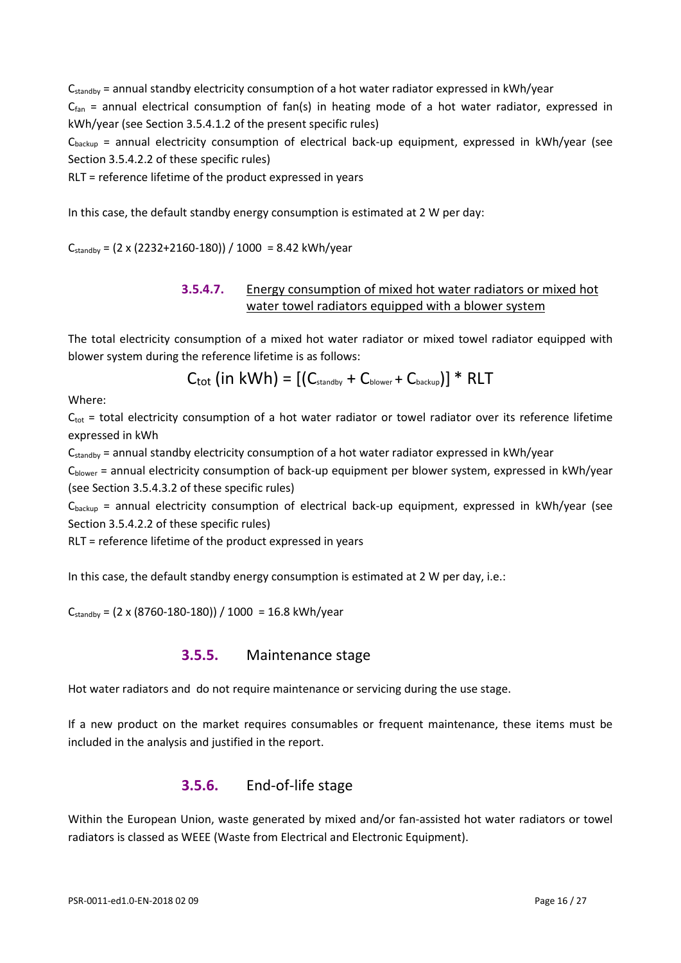Cstandby = annual standby electricity consumption of a hot water radiator expressed in kWh/year

 $C_{fan}$  = annual electrical consumption of fan(s) in heating mode of a hot water radiator, expressed in kWh/year (see Section 3.5.4.1.2 of the present specific rules)

 $C_{\text{backup}}$  = annual electricity consumption of electrical back-up equipment, expressed in kWh/year (see Section 3.5.4.2.2 of these specific rules)

RLT = reference lifetime of the product expressed in years

In this case, the default standby energy consumption is estimated at 2 W per day:

 $C_{\text{standby}} = (2 \times (2232 + 2160 - 180)) / 1000 = 8.42 \text{ kWh/year}$ 

#### **3.5.4.7.** Energy consumption of mixed hot water radiators or mixed hot water towel radiators equipped with a blower system

The total electricity consumption of a mixed hot water radiator or mixed towel radiator equipped with blower system during the reference lifetime is as follows:

 $C_{\text{tot}}$  (in kWh) =  $[(C_{\text{standby}} + C_{\text{blower}} + C_{\text{backup}})]$  \* RLT

Where:

 $C_{\text{tot}}$  = total electricity consumption of a hot water radiator or towel radiator over its reference lifetime expressed in kWh

 $C_{\text{standby}}$  = annual standby electricity consumption of a hot water radiator expressed in kWh/year

 $C_{\text{blower}}$  = annual electricity consumption of back-up equipment per blower system, expressed in kWh/year (see Section 3.5.4.3.2 of these specific rules)

Cbackup = annual electricity consumption of electrical back-up equipment, expressed in kWh/year (see Section 3.5.4.2.2 of these specific rules)

RLT = reference lifetime of the product expressed in years

In this case, the default standby energy consumption is estimated at 2 W per day, i.e.:

 $C_{\text{standby}} = (2 \times (8760 - 180 - 180)) / 1000 = 16.8 \text{ kWh/year}$ 

#### **3.5.5.** Maintenance stage

Hot water radiators and do not require maintenance or servicing during the use stage.

If a new product on the market requires consumables or frequent maintenance, these items must be included in the analysis and justified in the report.

#### **3.5.6.** End-of-life stage

Within the European Union, waste generated by mixed and/or fan-assisted hot water radiators or towel radiators is classed as WEEE (Waste from Electrical and Electronic Equipment).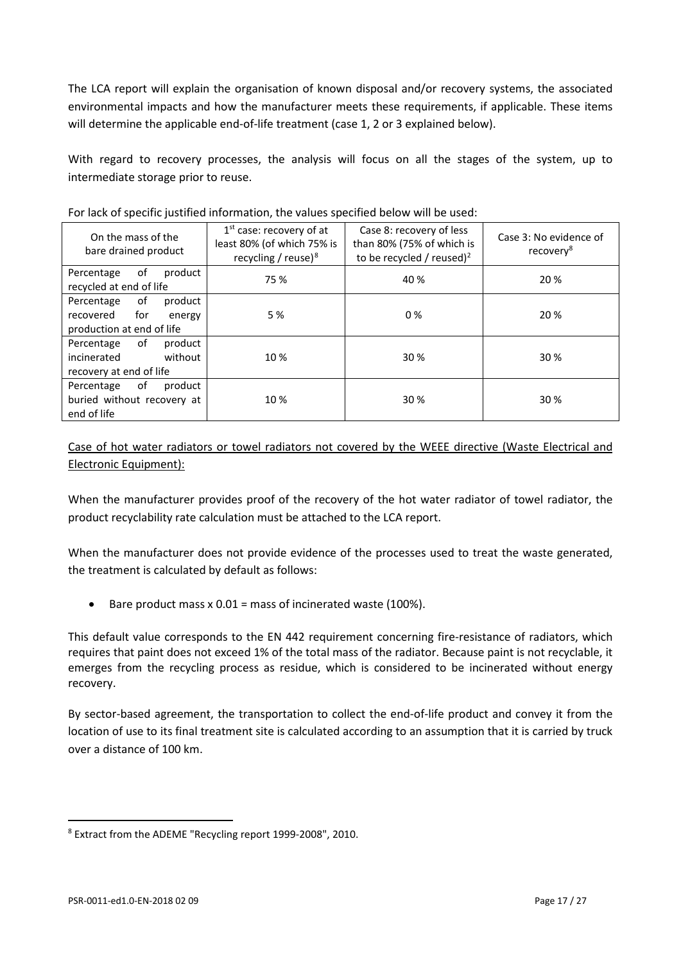The LCA report will explain the organisation of known disposal and/or recovery systems, the associated environmental impacts and how the manufacturer meets these requirements, if applicable. These items will determine the applicable end-of-life treatment (case 1, 2 or 3 explained below).

With regard to recovery processes, the analysis will focus on all the stages of the system, up to intermediate storage prior to reuse.

| On the mass of the<br>bare drained product                                             | $1st$ case: recovery of at<br>least 80% (of which 75% is<br>recycling / reuse) $8$ | Case 8: recovery of less<br>than 80% (75% of which is<br>to be recycled / reused) <sup>2</sup> | Case 3: No evidence of<br>recovery <sup>8</sup> |  |  |
|----------------------------------------------------------------------------------------|------------------------------------------------------------------------------------|------------------------------------------------------------------------------------------------|-------------------------------------------------|--|--|
| of<br>product<br>Percentage<br>recycled at end of life                                 | 75 %                                                                               | 40 %                                                                                           | 20 %                                            |  |  |
| of<br>product<br>Percentage<br>recovered<br>for<br>energy<br>production at end of life | 5 %                                                                                | 0%                                                                                             | 20 %                                            |  |  |
| of<br>product<br>Percentage<br>without<br>incinerated<br>recovery at end of life       | 10%                                                                                | 30 %                                                                                           | 30 %                                            |  |  |
| of<br>Percentage<br>product<br>buried without recovery at<br>end of life               | 10 %                                                                               | 30 %                                                                                           | 30 %                                            |  |  |

For lack of specific justified information, the values specified below will be used:

Case of hot water radiators or towel radiators not covered by the WEEE directive (Waste Electrical and Electronic Equipment):

When the manufacturer provides proof of the recovery of the hot water radiator of towel radiator, the product recyclability rate calculation must be attached to the LCA report.

When the manufacturer does not provide evidence of the processes used to treat the waste generated, the treatment is calculated by default as follows:

• Bare product mass  $x = 0.01$  = mass of incinerated waste (100%).

This default value corresponds to the EN 442 requirement concerning fire-resistance of radiators, which requires that paint does not exceed 1% of the total mass of the radiator. Because paint is not recyclable, it emerges from the recycling process as residue, which is considered to be incinerated without energy recovery.

By sector-based agreement, the transportation to collect the end-of-life product and convey it from the location of use to its final treatment site is calculated according to an assumption that it is carried by truck over a distance of 100 km.

 $\overline{a}$ 

<span id="page-16-0"></span><sup>8</sup> Extract from the ADEME "Recycling report 1999-2008", 2010.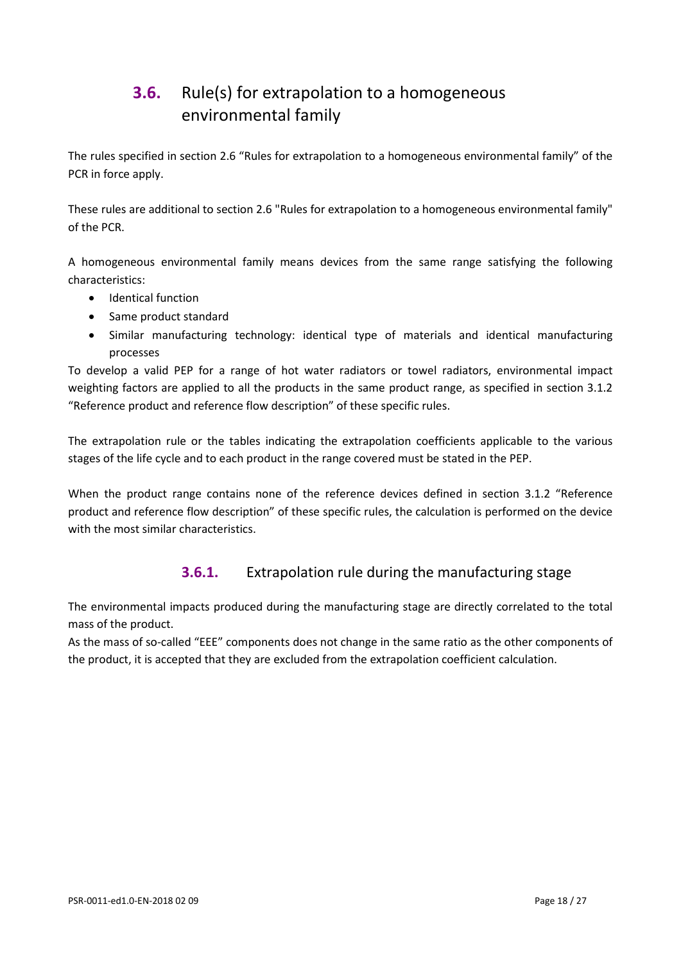# <span id="page-17-0"></span>**3.6.** Rule(s) for extrapolation to a homogeneous environmental family

The rules specified in section 2.6 "Rules for extrapolation to a homogeneous environmental family" of the PCR in force apply.

These rules are additional to section 2.6 "Rules for extrapolation to a homogeneous environmental family" of the PCR.

A homogeneous environmental family means devices from the same range satisfying the following characteristics:

- Identical function
- Same product standard
- Similar manufacturing technology: identical type of materials and identical manufacturing processes

To develop a valid PEP for a range of hot water radiators or towel radiators, environmental impact weighting factors are applied to all the products in the same product range, as specified in section 3.1.2 "Reference product and reference flow description" of these specific rules.

The extrapolation rule or the tables indicating the extrapolation coefficients applicable to the various stages of the life cycle and to each product in the range covered must be stated in the PEP.

When the product range contains none of the reference devices defined in section 3.1.2 "Reference product and reference flow description" of these specific rules, the calculation is performed on the device with the most similar characteristics.

### **3.6.1.** Extrapolation rule during the manufacturing stage

The environmental impacts produced during the manufacturing stage are directly correlated to the total mass of the product.

As the mass of so-called "EEE" components does not change in the same ratio as the other components of the product, it is accepted that they are excluded from the extrapolation coefficient calculation.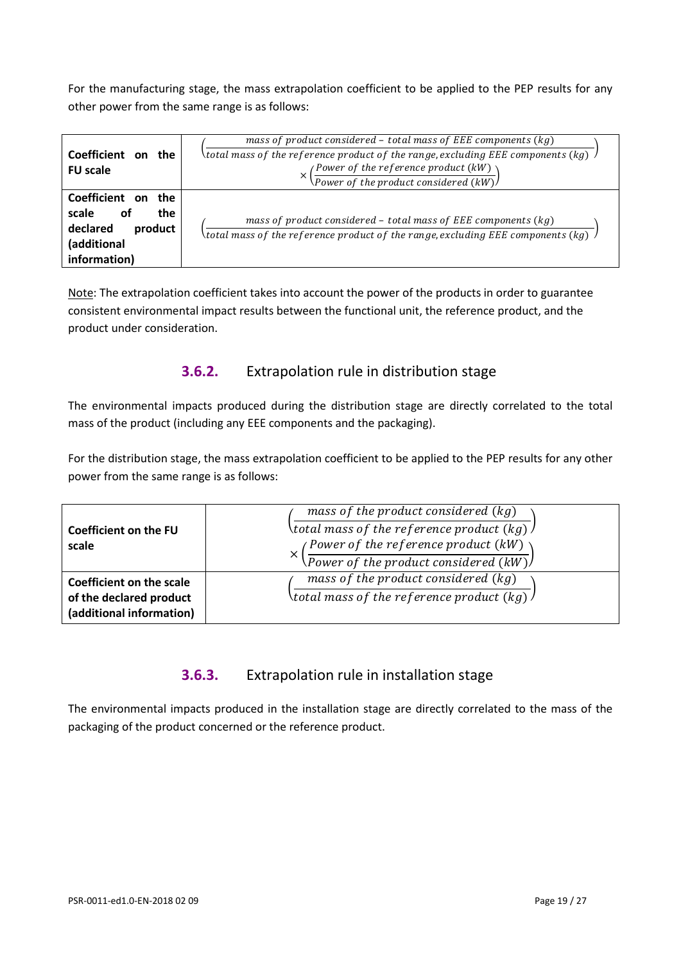For the manufacturing stage, the mass extrapolation coefficient to be applied to the PEP results for any other power from the same range is as follows:

|                                             | mass of product considered - total mass of EEE components $(kg)$                                          |
|---------------------------------------------|-----------------------------------------------------------------------------------------------------------|
| Coefficient<br>the<br>on<br><b>FU</b> scale | $\lambda$ total mass of the reference product of the range, excluding EEE components (kg) $\lambda$       |
|                                             | $\left(\frac{Power\ of\ the\ reference\ product\ (kW)}{Power\ of\ the\ product\ considered\ (kW)}\right)$ |
| Coefficient on<br>the                       |                                                                                                           |
| the<br>scale<br>оf                          | mass of product considered - total mass of EEE components (kg)                                            |
| declared<br>product                         | $\lambda$ total mass of the reference product of the range, excluding EEE components (kg) .               |
| (additional                                 |                                                                                                           |
| information)                                |                                                                                                           |

Note: The extrapolation coefficient takes into account the power of the products in order to guarantee consistent environmental impact results between the functional unit, the reference product, and the product under consideration.

#### **3.6.2.** Extrapolation rule in distribution stage

The environmental impacts produced during the distribution stage are directly correlated to the total mass of the product (including any EEE components and the packaging).

For the distribution stage, the mass extrapolation coefficient to be applied to the PEP results for any other power from the same range is as follows:

| Coefficient on the FU<br>scale                                                  | mass of the product considered $(kg)$<br>$\lambda$ total mass of the reference product (kg) $\lambda$<br>(Power of the reference product (kW)<br>$\sqrt{Power\ of\ the\ product\ considered\ (kW)}$ |
|---------------------------------------------------------------------------------|-----------------------------------------------------------------------------------------------------------------------------------------------------------------------------------------------------|
| Coefficient on the scale<br>of the declared product<br>(additional information) | mass of the product considered $(kg)$<br>\total mass of the reference product (kg) $\sqrt$                                                                                                          |

### **3.6.3.** Extrapolation rule in installation stage

The environmental impacts produced in the installation stage are directly correlated to the mass of the packaging of the product concerned or the reference product.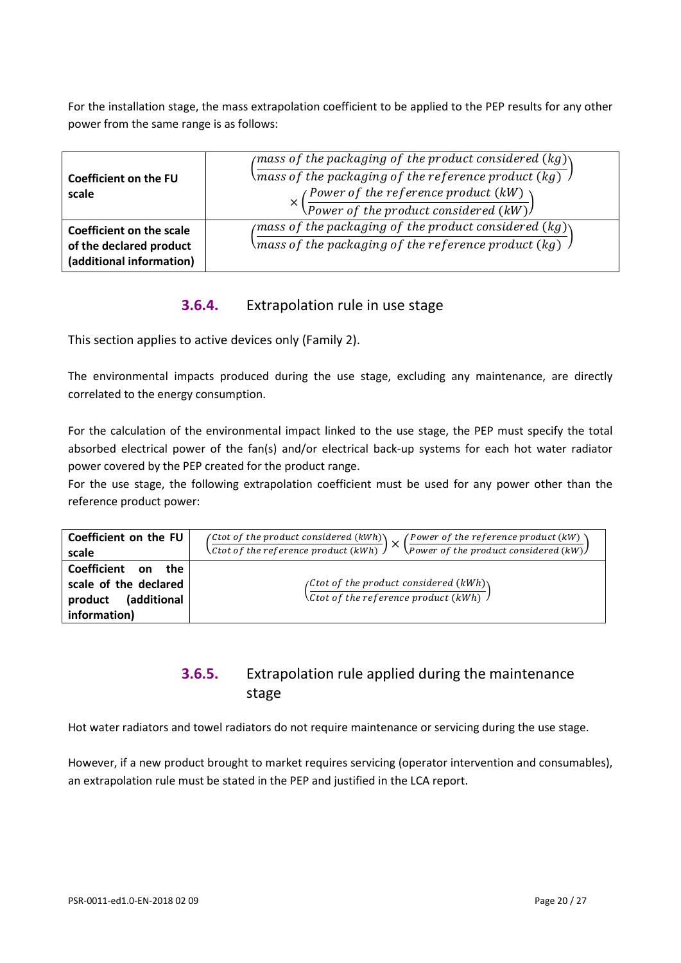For the installation stage, the mass extrapolation coefficient to be applied to the PEP results for any other power from the same range is as follows:

| Coefficient on the FU<br>scale                                                  | (mass of the packaging of the product considered (kg) $\setminus$<br>\mass of the packaging of the reference product (kg) $\,$ /<br>$\left(\frac{Power\ of\ the\ reference\ product\ (kW)}{Power\ of\ the\ product\ considered\ (kW)}\right)$ |
|---------------------------------------------------------------------------------|-----------------------------------------------------------------------------------------------------------------------------------------------------------------------------------------------------------------------------------------------|
| Coefficient on the scale<br>of the declared product<br>(additional information) | $\phi$ (mass of the packaging of the product considered (kg))<br>\mass of the packaging of the reference product (kg) $\,$ $/$                                                                                                                |

#### **3.6.4.** Extrapolation rule in use stage

This section applies to active devices only (Family 2).

The environmental impacts produced during the use stage, excluding any maintenance, are directly correlated to the energy consumption.

For the calculation of the environmental impact linked to the use stage, the PEP must specify the total absorbed electrical power of the fan(s) and/or electrical back-up systems for each hot water radiator power covered by the PEP created for the product range.

For the use stage, the following extrapolation coefficient must be used for any power other than the reference product power:

| Coefficient on the FU<br>scale                                                           | (Ctot of the product considered $(kWh)$ )<br>(Power of the reference product $(kW)$<br>'X<br>$\backslash$ Power of the product considered (kW) $\backslash$<br>$\setminus$ Ctot of the reference product (kWh) $\int$ |
|------------------------------------------------------------------------------------------|-----------------------------------------------------------------------------------------------------------------------------------------------------------------------------------------------------------------------|
| Coefficient on<br>the<br>scale of the declared<br>(additional<br>product<br>information) | (Ctot of the product considered $(kWh)$ )<br>$\sqrt{\text{Ctot of the reference product (kWh)}}$                                                                                                                      |

### **3.6.5.** Extrapolation rule applied during the maintenance stage

Hot water radiators and towel radiators do not require maintenance or servicing during the use stage.

However, if a new product brought to market requires servicing (operator intervention and consumables), an extrapolation rule must be stated in the PEP and justified in the LCA report.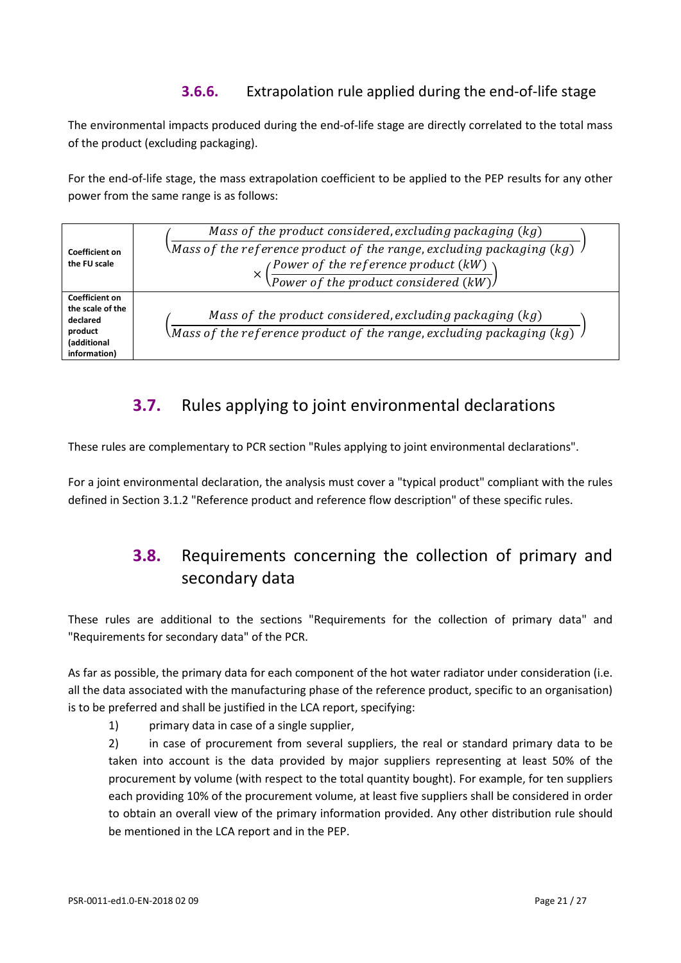## **3.6.6.** Extrapolation rule applied during the end-of-life stage

The environmental impacts produced during the end-of-life stage are directly correlated to the total mass of the product (excluding packaging).

For the end-of-life stage, the mass extrapolation coefficient to be applied to the PEP results for any other power from the same range is as follows:

| Coefficient on<br>the FU scale                                                                  | Mass of the product considered, excluding packaging $(kg)$<br>\Mass of the reference product of the range, excluding packaging (kg) $\,$ $\,$<br>$\left(\frac{Power\ of\ the\ reference\ product\ (kW)}{Power\ of\ the\ product\ considered\ (kW)}\right)$ |
|-------------------------------------------------------------------------------------------------|------------------------------------------------------------------------------------------------------------------------------------------------------------------------------------------------------------------------------------------------------------|
| <b>Coefficient on</b><br>the scale of the<br>declared<br>product<br>(additional<br>information) | Mass of the product considered, excluding packaging $(kg)$<br>Mass of the reference product of the range, excluding packaging (kg) $\,$ $\,$                                                                                                               |

# <span id="page-20-0"></span>**3.7.** Rules applying to joint environmental declarations

These rules are complementary to PCR section "Rules applying to joint environmental declarations".

<span id="page-20-1"></span>For a joint environmental declaration, the analysis must cover a "typical product" compliant with the rules defined in Section 3.1.2 "Reference product and reference flow description" of these specific rules.

# **3.8.** Requirements concerning the collection of primary and secondary data

These rules are additional to the sections "Requirements for the collection of primary data" and "Requirements for secondary data" of the PCR.

As far as possible, the primary data for each component of the hot water radiator under consideration (i.e. all the data associated with the manufacturing phase of the reference product, specific to an organisation) is to be preferred and shall be justified in the LCA report, specifying:

1) primary data in case of a single supplier,

2) in case of procurement from several suppliers, the real or standard primary data to be taken into account is the data provided by major suppliers representing at least 50% of the procurement by volume (with respect to the total quantity bought). For example, for ten suppliers each providing 10% of the procurement volume, at least five suppliers shall be considered in order to obtain an overall view of the primary information provided. Any other distribution rule should be mentioned in the LCA report and in the PEP.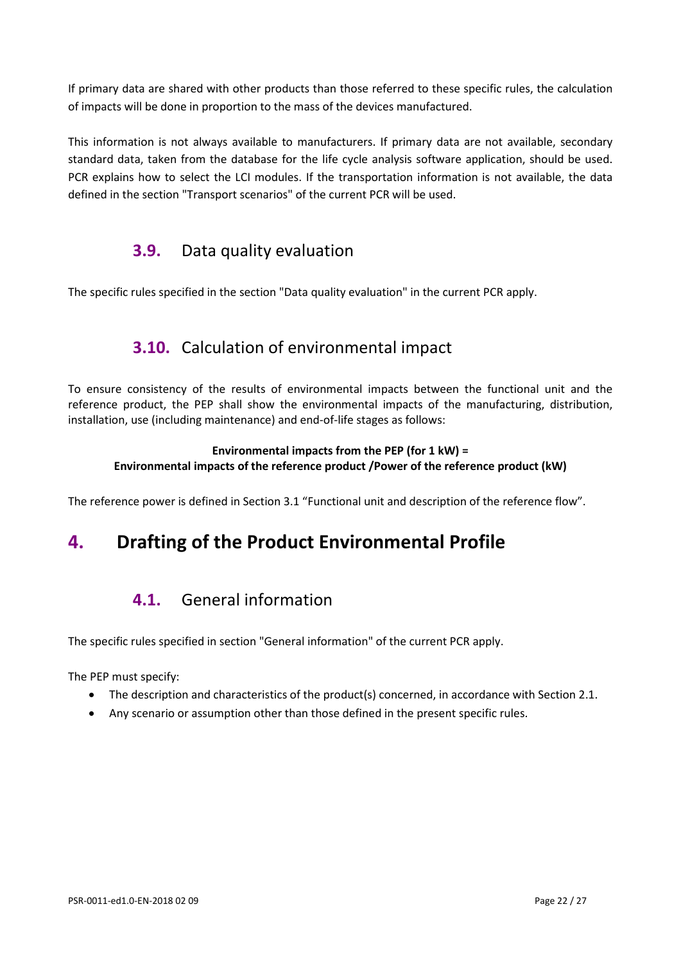If primary data are shared with other products than those referred to these specific rules, the calculation of impacts will be done in proportion to the mass of the devices manufactured.

<span id="page-21-0"></span>This information is not always available to manufacturers. If primary data are not available, secondary standard data, taken from the database for the life cycle analysis software application, should be used. PCR explains how to select the LCI modules. If the transportation information is not available, the data defined in the section "Transport scenarios" of the current PCR will be used.

## **3.9.** Data quality evaluation

<span id="page-21-1"></span>The specific rules specified in the section "Data quality evaluation" in the current PCR apply.

## **3.10.** Calculation of environmental impact

To ensure consistency of the results of environmental impacts between the functional unit and the reference product, the PEP shall show the environmental impacts of the manufacturing, distribution, installation, use (including maintenance) and end-of-life stages as follows:

#### **Environmental impacts from the PEP (for 1 kW) = Environmental impacts of the reference product /Power of the reference product (kW)**

The reference power is defined in Section 3.1 "Functional unit and description of the reference flow".

# <span id="page-21-3"></span><span id="page-21-2"></span>**4. Drafting of the Product Environmental Profile**

## **4.1.** General information

The specific rules specified in section "General information" of the current PCR apply.

The PEP must specify:

- The description and characteristics of the product(s) concerned, in accordance with Section 2.1.
- Any scenario or assumption other than those defined in the present specific rules.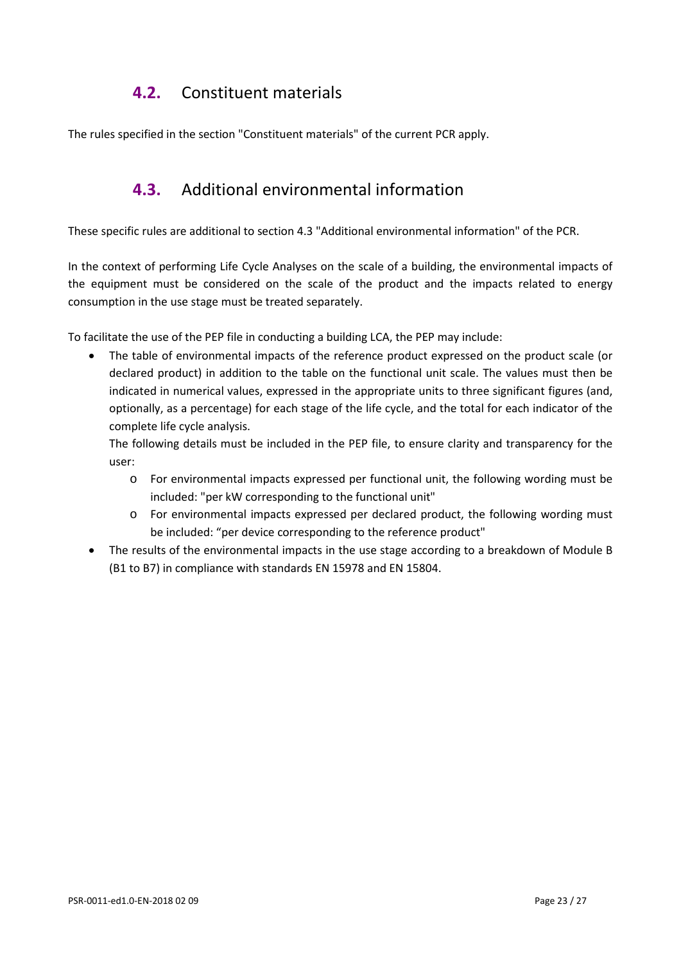## **4.2.** Constituent materials

<span id="page-22-1"></span><span id="page-22-0"></span>The rules specified in the section "Constituent materials" of the current PCR apply.

## **4.3.** Additional environmental information

These specific rules are additional to section 4.3 "Additional environmental information" of the PCR.

In the context of performing Life Cycle Analyses on the scale of a building, the environmental impacts of the equipment must be considered on the scale of the product and the impacts related to energy consumption in the use stage must be treated separately.

To facilitate the use of the PEP file in conducting a building LCA, the PEP may include:

• The table of environmental impacts of the reference product expressed on the product scale (or declared product) in addition to the table on the functional unit scale. The values must then be indicated in numerical values, expressed in the appropriate units to three significant figures (and, optionally, as a percentage) for each stage of the life cycle, and the total for each indicator of the complete life cycle analysis.

The following details must be included in the PEP file, to ensure clarity and transparency for the user:

- o For environmental impacts expressed per functional unit, the following wording must be included: "per kW corresponding to the functional unit"
- o For environmental impacts expressed per declared product, the following wording must be included: "per device corresponding to the reference product"
- The results of the environmental impacts in the use stage according to a breakdown of Module B (B1 to B7) in compliance with standards EN 15978 and EN 15804.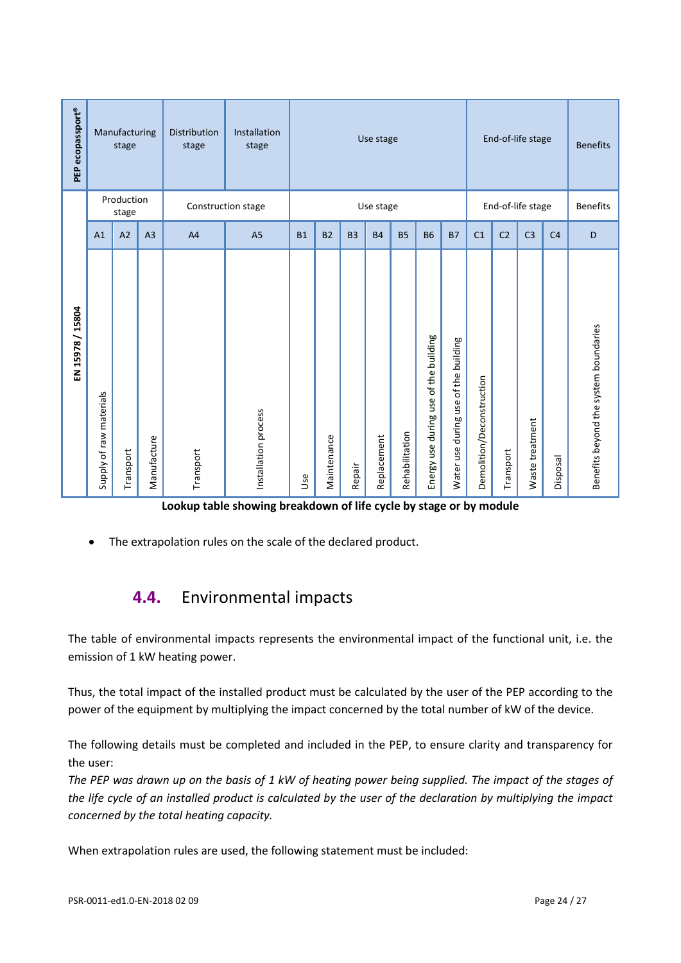| PEP ecopassport® |                         | Manufacturing<br>stage |                | Distribution<br>stage | Installation<br>stage | End-of-life stage<br>Use stage |             |           |             |                | <b>Benefits</b>                          |                                         |                           |                 |                 |                |                                       |
|------------------|-------------------------|------------------------|----------------|-----------------------|-----------------------|--------------------------------|-------------|-----------|-------------|----------------|------------------------------------------|-----------------------------------------|---------------------------|-----------------|-----------------|----------------|---------------------------------------|
|                  | Production<br>stage     |                        |                | Construction stage    |                       |                                | Use stage   |           |             |                | End-of-life stage                        |                                         |                           | <b>Benefits</b> |                 |                |                                       |
|                  | A1                      | A2                     | A <sub>3</sub> | A <sub>4</sub>        | A <sub>5</sub>        | <b>B1</b>                      | <b>B2</b>   | <b>B3</b> | <b>B4</b>   | <b>B5</b>      | <b>B6</b>                                | <b>B7</b>                               | C <sub>1</sub>            | C <sub>2</sub>  | C <sub>3</sub>  | C <sub>4</sub> | D                                     |
| EN 15978 / 15804 | Supply of raw materials | Transport              | Manufacture    | Transport             | Installation process  | Use                            | Maintenance | Repair    | Replacement | Rehabilitation | of the building<br>Energy use during use | of the building<br>Water use during use | Demolition/Deconstruction | Transport       | Waste treatment | Disposal       | Benefits beyond the system boundaries |

**Lookup table showing breakdown of life cycle by stage or by module**

<span id="page-23-0"></span>The extrapolation rules on the scale of the declared product.

# **4.4.** Environmental impacts

The table of environmental impacts represents the environmental impact of the functional unit, i.e. the emission of 1 kW heating power.

Thus, the total impact of the installed product must be calculated by the user of the PEP according to the power of the equipment by multiplying the impact concerned by the total number of kW of the device.

The following details must be completed and included in the PEP, to ensure clarity and transparency for the user:

*The PEP was drawn up on the basis of 1 kW of heating power being supplied. The impact of the stages of the life cycle of an installed product is calculated by the user of the declaration by multiplying the impact concerned by the total heating capacity.*

When extrapolation rules are used, the following statement must be included: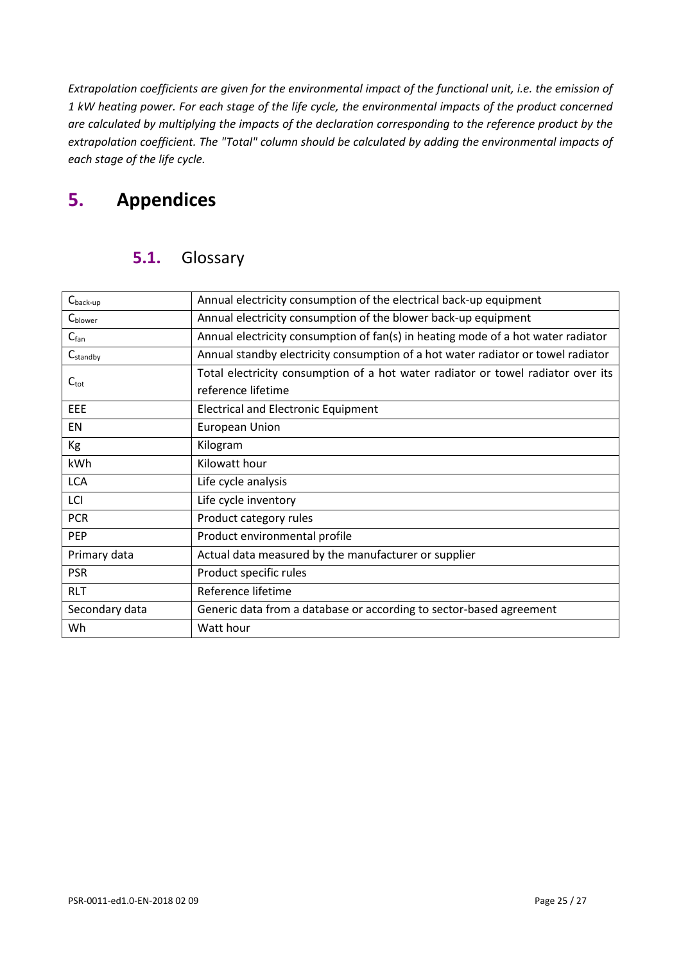*Extrapolation coefficients are given for the environmental impact of the functional unit, i.e. the emission of 1 kW heating power. For each stage of the life cycle, the environmental impacts of the product concerned are calculated by multiplying the impacts of the declaration corresponding to the reference product by the extrapolation coefficient. The "Total" column should be calculated by adding the environmental impacts of each stage of the life cycle.*

# <span id="page-24-1"></span><span id="page-24-0"></span>**5. Appendices**

## **5.1.** Glossary

<span id="page-24-2"></span>

| $C_{\text{back-up}}$ | Annual electricity consumption of the electrical back-up equipment               |  |  |  |  |
|----------------------|----------------------------------------------------------------------------------|--|--|--|--|
| C <sub>blower</sub>  | Annual electricity consumption of the blower back-up equipment                   |  |  |  |  |
| $C_{fan}$            | Annual electricity consumption of fan(s) in heating mode of a hot water radiator |  |  |  |  |
| C <sub>standby</sub> | Annual standby electricity consumption of a hot water radiator or towel radiator |  |  |  |  |
| $C_{\text{tot}}$     | Total electricity consumption of a hot water radiator or towel radiator over its |  |  |  |  |
|                      | reference lifetime                                                               |  |  |  |  |
| EEE                  | <b>Electrical and Electronic Equipment</b>                                       |  |  |  |  |
| <b>EN</b>            | <b>European Union</b>                                                            |  |  |  |  |
| Кg                   | Kilogram                                                                         |  |  |  |  |
| kWh                  | Kilowatt hour                                                                    |  |  |  |  |
| <b>LCA</b>           | Life cycle analysis                                                              |  |  |  |  |
| LCI                  | Life cycle inventory                                                             |  |  |  |  |
| <b>PCR</b>           | Product category rules                                                           |  |  |  |  |
| <b>PEP</b>           | Product environmental profile                                                    |  |  |  |  |
| Primary data         | Actual data measured by the manufacturer or supplier                             |  |  |  |  |
| <b>PSR</b>           | Product specific rules                                                           |  |  |  |  |
| <b>RLT</b>           | Reference lifetime                                                               |  |  |  |  |
| Secondary data       | Generic data from a database or according to sector-based agreement              |  |  |  |  |
| Wh                   | Watt hour                                                                        |  |  |  |  |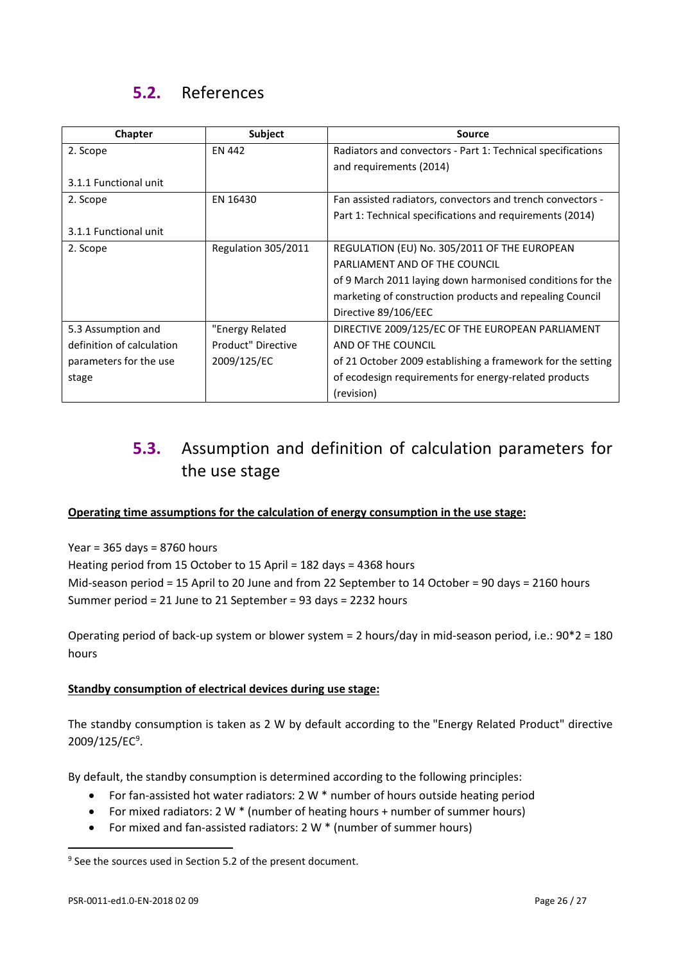# **5.2.** References

| Chapter                   | Subject             | Source                                                      |
|---------------------------|---------------------|-------------------------------------------------------------|
| 2. Scope                  | EN 442              | Radiators and convectors - Part 1: Technical specifications |
|                           |                     | and requirements (2014)                                     |
| 3.1.1 Functional unit     |                     |                                                             |
| 2. Scope                  | EN 16430            | Fan assisted radiators, convectors and trench convectors -  |
|                           |                     | Part 1: Technical specifications and requirements (2014)    |
| 3.1.1 Functional unit     |                     |                                                             |
| 2. Scope                  | Regulation 305/2011 | REGULATION (EU) No. 305/2011 OF THE EUROPEAN                |
|                           |                     | PARLIAMENT AND OF THE COUNCIL                               |
|                           |                     | of 9 March 2011 laying down harmonised conditions for the   |
|                           |                     | marketing of construction products and repealing Council    |
|                           |                     | Directive 89/106/EEC                                        |
| 5.3 Assumption and        | "Energy Related     | DIRECTIVE 2009/125/EC OF THE EUROPEAN PARLIAMENT            |
| definition of calculation | Product" Directive  | AND OF THE COUNCIL                                          |
| parameters for the use    | 2009/125/EC         | of 21 October 2009 establishing a framework for the setting |
| stage                     |                     | of ecodesign requirements for energy-related products       |
|                           |                     | (revision)                                                  |

# <span id="page-25-0"></span>**5.3.** Assumption and definition of calculation parameters for the use stage

#### **Operating time assumptions for the calculation of energy consumption in the use stage:**

Year =  $365$  days =  $8760$  hours Heating period from 15 October to 15 April = 182 days = 4368 hours Mid-season period = 15 April to 20 June and from 22 September to 14 October = 90 days = 2160 hours Summer period = 21 June to 21 September = 93 days = 2232 hours

Operating period of back-up system or blower system = 2 hours/day in mid-season period, i.e.: 90\*2 = 180 hours

#### **Standby consumption of electrical devices during use stage:**

The standby consumption is taken as 2 W by default according to the "Energy Related Product" directive 200[9](#page-25-1)/125/EC<sup>9</sup>.

By default, the standby consumption is determined according to the following principles:

- For fan-assisted hot water radiators: 2 W  $*$  number of hours outside heating period
- For mixed radiators: 2 W \* (number of heating hours + number of summer hours)
- For mixed and fan-assisted radiators: 2 W  $*$  (number of summer hours)

 $\overline{a}$ 

<span id="page-25-1"></span><sup>&</sup>lt;sup>9</sup> See the sources used in Section 5.2 of the present document.